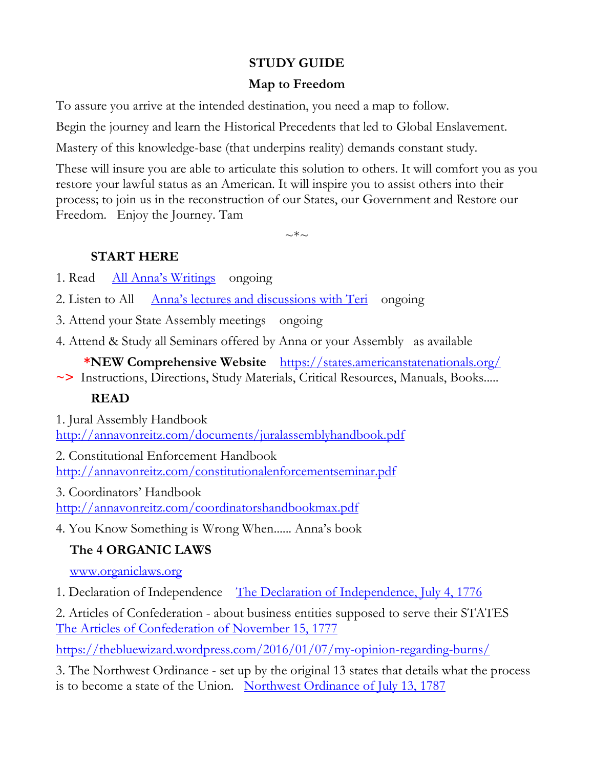## **STUDY GUIDE**

## **Map to Freedom**

To assure you arrive at the intended destination, you need a map to follow.

Begin the journey and learn the Historical Precedents that led to Global Enslavement.

Mastery of this knowledge-base (that underpins reality) demands constant study.

These will insure you are able to articulate this solution to others. It will comfort you as you restore your lawful status as an American. It will inspire you to assist others into their process; to join us in the reconstruction of our States, our Government and Restore our Freedom. Enjoy the Journey. Tam

 $\sim$ \*~

## **START HERE**

- 1. Read [All Anna's Writings](http://www.annavonreitz.com/) ongoing
- 2. Listen to All [Anna's lectures and discussions with Teri](http://annavonreitz.com/videos.html) ongoing
- 3. Attend your State Assembly meetings ongoing
- 4. Attend & Study all Seminars offered by Anna or your Assembly as available

**\*NEW Comprehensive Website** <https://states.americanstatenationals.org/> **~>** Instructions, Directions, Study Materials, Critical Resources, Manuals, Books.....

# **READ**

1. Jural Assembly Handbook <http://annavonreitz.com/documents/juralassemblyhandbook.pdf>

2. Constitutional Enforcement Handbook <http://annavonreitz.com/constitutionalenforcementseminar.pdf>

3. Coordinators' Handbook <http://annavonreitz.com/coordinatorshandbookmax.pdf>

4. You Know Something is Wrong When...... Anna's book

# **The 4 ORGANIC LAWS**

[www.organiclaws.org](http://www.organiclaws.org/)

1. Declaration of Independence [The Declaration of Independence, July 4, 1776](https://organiclaws.org/the-declaration-of-independence/)

2. Articles of Confederation - about business entities supposed to serve their STATES [The Articles of Confederation of November 15, 1777](https://organiclaws.org/the-articles-of-confederation/)

<https://thebluewizard.wordpress.com/2016/01/07/my-opinion-regarding-burns/>

3. The Northwest Ordinance - set up by the original 13 states that details what the process is to become a state of the Union. [Northwest Ordinance of July 13, 1787](https://organiclaws.org/the-northwest-ordinance/)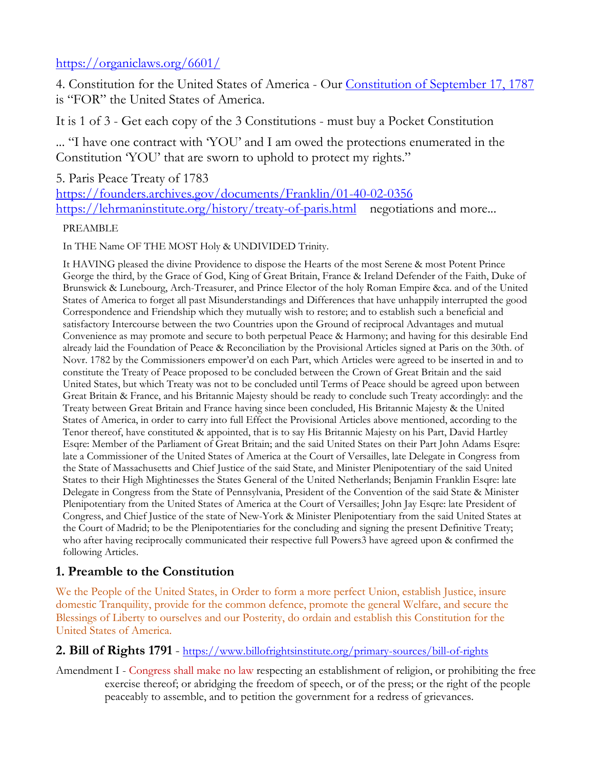### <https://organiclaws.org/6601/>

4. Constitution for the United States of America - Our [Constitution of September 17, 1787](https://organiclaws.org/the-constitution-of-1787/)  is "FOR" the United States of America.

It is 1 of 3 - Get each copy of the 3 Constitutions - must buy a Pocket Constitution

... "I have one contract with 'YOU' and I am owed the protections enumerated in the Constitution 'YOU' that are sworn to uphold to protect my rights."

5. Paris Peace Treaty of 1783 <https://founders.archives.gov/documents/Franklin/01-40-02-0356> <https://lehrmaninstitute.org/history/treaty-of-paris.html>negotiations and more...

#### PREAMBLE

In THE Name OF THE MOST Holy & UNDIVIDED Trinity.

It HAVING pleased the divine Providence to dispose the Hearts of the most Serene & most Potent Prince George the third, by the Grace of God, King of Great Britain, France & Ireland Defender of the Faith, Duke of Brunswick & Lunebourg, Arch-Treasurer, and Prince Elector of the holy Roman Empire &ca. and of the United States of America to forget all past Misunderstandings and Differences that have unhappily interrupted the good Correspondence and Friendship which they mutually wish to restore; and to establish such a beneficial and satisfactory Intercourse between the two Countries upon the Ground of reciprocal Advantages and mutual Convenience as may promote and secure to both perpetual Peace & Harmony; and having for this desirable End already laid the Foundation of Peace & Reconciliation by the Provisional Articles signed at Paris on the 30th. of Novr. 1782 by the Commissioners empower'd on each Part, which Articles were agreed to be inserted in and to constitute the Treaty of Peace proposed to be concluded between the Crown of Great Britain and the said United States, but which Treaty was not to be concluded until Terms of Peace should be agreed upon between Great Britain & France, and his Britannic Majesty should be ready to conclude such Treaty accordingly: and the Treaty between Great Britain and France having since been concluded, His Britannic Majesty & the United States of America, in order to carry into full Effect the Provisional Articles above mentioned, according to the Tenor thereof, have constituted & appointed, that is to say His Britannic Majesty on his Part, David Hartley Esqre: Member of the Parliament of Great Britain; and the said United States on their Part John Adams Esqre: late a Commissioner of the United States of America at the Court of Versailles, late Delegate in Congress from the State of Massachusetts and Chief Justice of the said State, and Minister Plenipotentiary of the said United States to their High Mightinesses the States General of the United Netherlands; Benjamin Franklin Esqre: late Delegate in Congress from the State of Pennsylvania, President of the Convention of the said State & Minister Plenipotentiary from the United States of America at the Court of Versailles; John Jay Esqre: late President of Congress, and Chief Justice of the state of New-York & Minister Plenipotentiary from the said United States at the Court of Madrid; to be the Plenipotentiaries for the concluding and signing the present Definitive Treaty; who after having reciprocally communicated their respective full Powers3 have agreed upon & confirmed the following Articles.

### **1. Preamble to the Constitution**

We the People of the United States, in Order to form a more perfect Union, establish Justice, insure domestic Tranquility, provide for the common defence, promote the general Welfare, and secure the Blessings of Liberty to ourselves and our Posterity, do ordain and establish this Constitution for the United States of America.

#### **2. Bill of Rights 1791** - <https://www.billofrightsinstitute.org/primary-sources/bill-of-rights>

Amendment I - Congress shall make no law respecting an establishment of religion, or prohibiting the free exercise thereof; or abridging the freedom of speech, or of the press; or the right of the people peaceably to assemble, and to petition the government for a redress of grievances.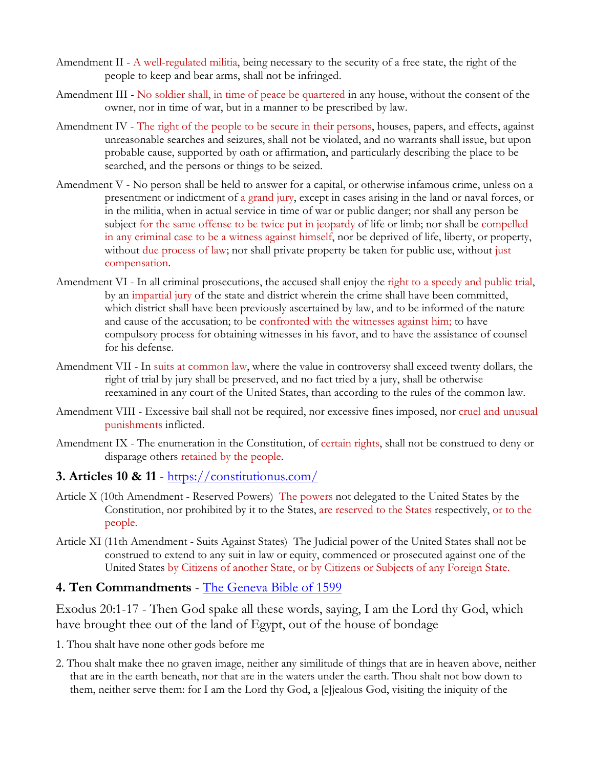- Amendment II A well-regulated militia, being necessary to the security of a free state, the right of the people to keep and bear arms, shall not be infringed.
- Amendment III No soldier shall, in time of peace be quartered in any house, without the consent of the owner, nor in time of war, but in a manner to be prescribed by law.
- Amendment IV The right of the people to be secure in their persons, houses, papers, and effects, against unreasonable searches and seizures, shall not be violated, and no warrants shall issue, but upon probable cause, supported by oath or affirmation, and particularly describing the place to be searched, and the persons or things to be seized.
- Amendment V No person shall be held to answer for a capital, or otherwise infamous crime, unless on a presentment or indictment of a grand jury, except in cases arising in the land or naval forces, or in the militia, when in actual service in time of war or public danger; nor shall any person be subject for the same offense to be twice put in jeopardy of life or limb; nor shall be compelled in any criminal case to be a witness against himself, nor be deprived of life, liberty, or property, without due process of law; nor shall private property be taken for public use, without just compensation.
- Amendment VI In all criminal prosecutions, the accused shall enjoy the right to a speedy and public trial, by an impartial jury of the state and district wherein the crime shall have been committed, which district shall have been previously ascertained by law, and to be informed of the nature and cause of the accusation; to be confronted with the witnesses against him; to have compulsory process for obtaining witnesses in his favor, and to have the assistance of counsel for his defense.
- Amendment VII In suits at common law, where the value in controversy shall exceed twenty dollars, the right of trial by jury shall be preserved, and no fact tried by a jury, shall be otherwise reexamined in any court of the United States, than according to the rules of the common law.
- Amendment VIII Excessive bail shall not be required, nor excessive fines imposed, nor cruel and unusual punishments inflicted.
- Amendment IX The enumeration in the Constitution, of certain rights, shall not be construed to deny or disparage others retained by the people.

#### **3. Articles 10 & 11** - <https://constitutionus.com/>

- Article X (10th Amendment Reserved Powers) The powers not delegated to the United States by the Constitution, nor prohibited by it to the States, are reserved to the States respectively, or to the people.
- Article XI (11th Amendment Suits Against States) The Judicial power of the United States shall not be construed to extend to any suit in law or equity, commenced or prosecuted against one of the United States by Citizens of another State, or by Citizens or Subjects of any Foreign State.

#### **4. Ten Commandments** - [The Geneva Bible of 1599](https://the10commandments.info/version/geneva-bible-1599/)

Exodus 20:1-17 - Then God spake all these words, saying, I am the Lord thy God, which have brought thee out of the land of Egypt, out of the house of bondage

- 1. Thou shalt have none other gods before me
- 2. Thou shalt make thee no graven image, neither any similitude of things that are in heaven above, neither that are in the earth beneath, nor that are in the waters under the earth. Thou shalt not bow down to them, neither serve them: for I am the Lord thy God, a [e]jealous God, visiting the iniquity of the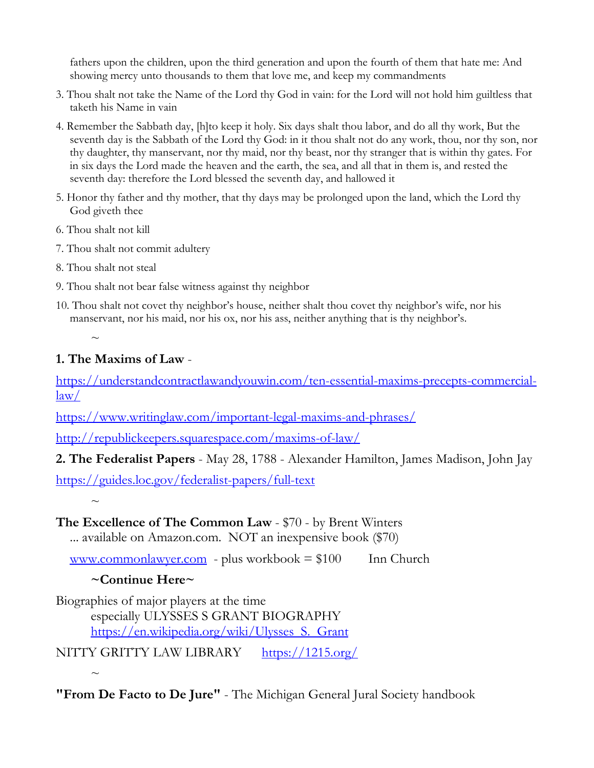fathers upon the children, upon the third generation and upon the fourth of them that hate me: And showing mercy unto thousands to them that love me, and keep my commandments

- 3. Thou shalt not take the Name of the Lord thy God in vain: for the Lord will not hold him guiltless that taketh his Name in vain
- 4. Remember the Sabbath day, [h]to keep it holy. Six days shalt thou labor, and do all thy work, But the seventh day is the Sabbath of the Lord thy God: in it thou shalt not do any work, thou, nor thy son, nor thy daughter, thy manservant, nor thy maid, nor thy beast, nor thy stranger that is within thy gates. For in six days the Lord made the heaven and the earth, the sea, and all that in them is, and rested the seventh day: therefore the Lord blessed the seventh day, and hallowed it
- 5. Honor thy father and thy mother, that thy days may be prolonged upon the land, which the Lord thy God giveth thee
- 6. Thou shalt not kill
- 7. Thou shalt not commit adultery
- 8. Thou shalt not steal

 $\sim$ 

- 9. Thou shalt not bear false witness against thy neighbor
- 10. Thou shalt not covet thy neighbor's house, neither shalt thou covet thy neighbor's wife, nor his manservant, nor his maid, nor his ox, nor his ass, neither anything that is thy neighbor's.

### **1. The Maxims of Law** -

[https://understandcontractlawandyouwin.com/ten-essential-maxims-precepts-commercial](https://understandcontractlawandyouwin.com/ten-essential-maxims-precepts-commercial-law/)[law/](https://understandcontractlawandyouwin.com/ten-essential-maxims-precepts-commercial-law/)

<https://www.writinglaw.com/important-legal-maxims-and-phrases/>

<http://republickeepers.squarespace.com/maxims-of-law/>

**2. The Federalist Papers** - May 28, 1788 - Alexander Hamilton, James Madison, John Jay

<https://guides.loc.gov/federalist-papers/full-text>

 $\sim$ 

 $\sim$ 

### **The Excellence of The Common Law** - \$70 - by Brent Winters

... available on Amazon.com. NOT an inexpensive book (\$70)

[www.commonlawyer.com](http://www.commonlawyer.com/) - plus workbook  $= $100$  Inn Church

### **~Continue Here~**

Biographies of major players at the time especially ULYSSES S GRANT BIOGRAPHY [https://en.wikipedia.org/wiki/Ulysses\\_S.\\_Grant](https://en.wikipedia.org/wiki/Ulysses_S._Grant)

NITTY GRITTY LAW LIBRARY <https://1215.org/>

**"From De Facto to De Jure"** - The Michigan General Jural Society handbook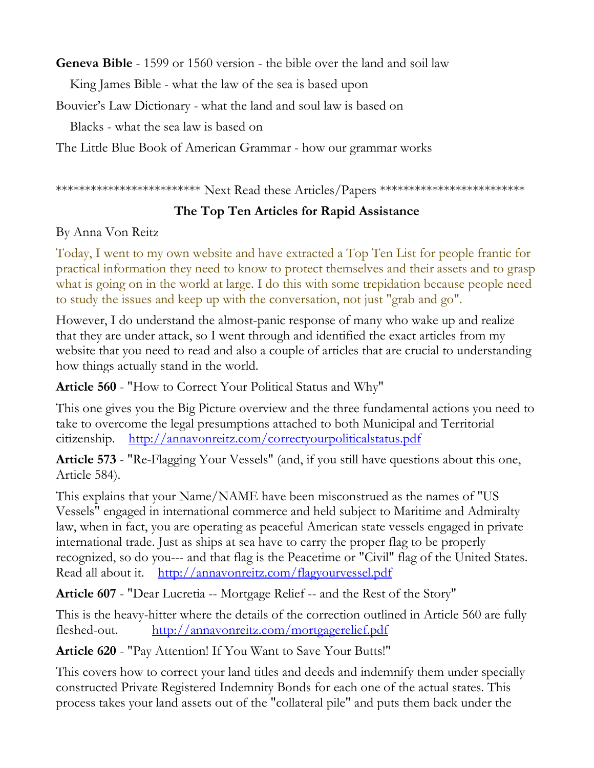**Geneva Bible** - 1599 or 1560 version - the bible over the land and soil law

King James Bible - what the law of the sea is based upon

Bouvier's Law Dictionary - what the land and soul law is based on

Blacks - what the sea law is based on

The Little Blue Book of American Grammar - how our grammar works

\*\*\*\*\*\*\*\*\*\*\*\*\*\*\*\*\*\*\*\*\*\*\*\*\*\* Next Read these Articles/Papers \*\*\*\*\*\*\*\*\*\*\*\*\*\*\*\*\*\*\*\*\*\*\*\*\*\*

# **The Top Ten Articles for Rapid Assistance**

By Anna Von Reitz

Today, I went to my own website and have extracted a Top Ten List for people frantic for practical information they need to know to protect themselves and their assets and to grasp what is going on in the world at large. I do this with some trepidation because people need to study the issues and keep up with the conversation, not just "grab and go".

However, I do understand the almost-panic response of many who wake up and realize that they are under attack, so I went through and identified the exact articles from my website that you need to read and also a couple of articles that are crucial to understanding how things actually stand in the world.

**Article 560** - "How to Correct Your Political Status and Why"

This one gives you the Big Picture overview and the three fundamental actions you need to take to overcome the legal presumptions attached to both Municipal and Territorial citizenship. <http://annavonreitz.com/correctyourpoliticalstatus.pdf>

**Article 573** - "Re-Flagging Your Vessels" (and, if you still have questions about this one, Article 584).

This explains that your Name/NAME have been misconstrued as the names of "US Vessels" engaged in international commerce and held subject to Maritime and Admiralty law, when in fact, you are operating as peaceful American state vessels engaged in private international trade. Just as ships at sea have to carry the proper flag to be properly recognized, so do you--- and that flag is the Peacetime or "Civil" flag of the United States. Read all about it. <http://annavonreitz.com/flagyourvessel.pdf>

**Article 607** - "Dear Lucretia -- Mortgage Relief -- and the Rest of the Story"

This is the heavy-hitter where the details of the correction outlined in Article 560 are fully fleshed-out. <http://annavonreitz.com/mortgagerelief.pdf>

**Article 620** - "Pay Attention! If You Want to Save Your Butts!"

This covers how to correct your land titles and deeds and indemnify them under specially constructed Private Registered Indemnity Bonds for each one of the actual states. This process takes your land assets out of the "collateral pile" and puts them back under the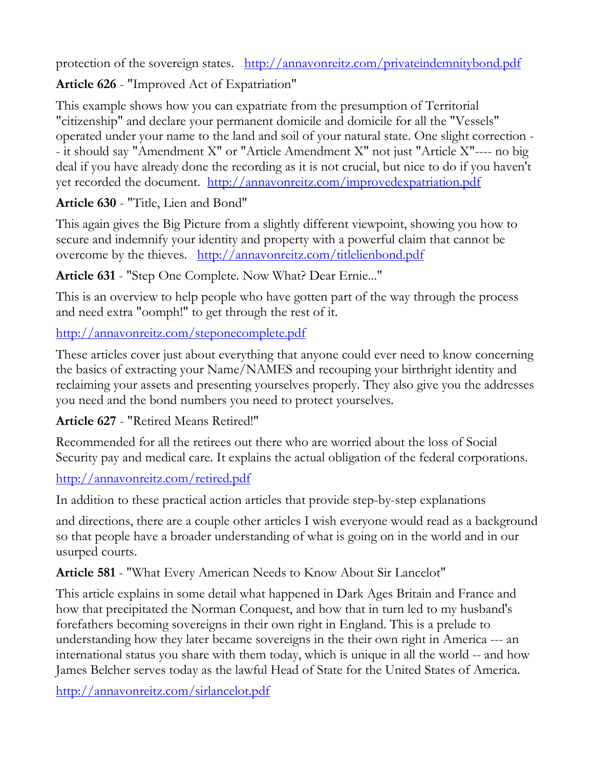protection of the sovereign states. <http://annavonreitz.com/privateindemnitybond.pdf>

**Article 626** - "Improved Act of Expatriation"

This example shows how you can expatriate from the presumption of Territorial "citizenship" and declare your permanent domicile and domicile for all the "Vessels" operated under your name to the land and soil of your natural state. One slight correction - - it should say "Amendment X" or "Article Amendment X" not just "Article X"---- no big deal if you have already done the recording as it is not crucial, but nice to do if you haven't yet recorded the document. <http://annavonreitz.com/improvedexpatriation.pdf>

**Article 630** - "Title, Lien and Bond"

This again gives the Big Picture from a slightly different viewpoint, showing you how to secure and indemnify your identity and property with a powerful claim that cannot be overcome by the thieves. <http://annavonreitz.com/titlelienbond.pdf>

**Article 631** - "Step One Complete. Now What? Dear Ernie..."

This is an overview to help people who have gotten part of the way through the process and need extra "oomph!" to get through the rest of it.

<http://annavonreitz.com/steponecomplete.pdf>

These articles cover just about everything that anyone could ever need to know concerning the basics of extracting your Name/NAMES and recouping your birthright identity and reclaiming your assets and presenting yourselves properly. They also give you the addresses you need and the bond numbers you need to protect yourselves.

# **Article 627** - "Retired Means Retired!"

Recommended for all the retirees out there who are worried about the loss of Social Security pay and medical care. It explains the actual obligation of the federal corporations.

# <http://annavonreitz.com/retired.pdf>

In addition to these practical action articles that provide step-by-step explanations

and directions, there are a couple other articles I wish everyone would read as a background so that people have a broader understanding of what is going on in the world and in our usurped courts.

**Article 581** - "What Every American Needs to Know About Sir Lancelot"

This article explains in some detail what happened in Dark Ages Britain and France and how that precipitated the Norman Conquest, and how that in turn led to my husband's forefathers becoming sovereigns in their own right in England. This is a prelude to understanding how they later became sovereigns in the their own right in America --- an international status you share with them today, which is unique in all the world -- and how James Belcher serves today as the lawful Head of State for the United States of America.

<http://annavonreitz.com/sirlancelot.pdf>